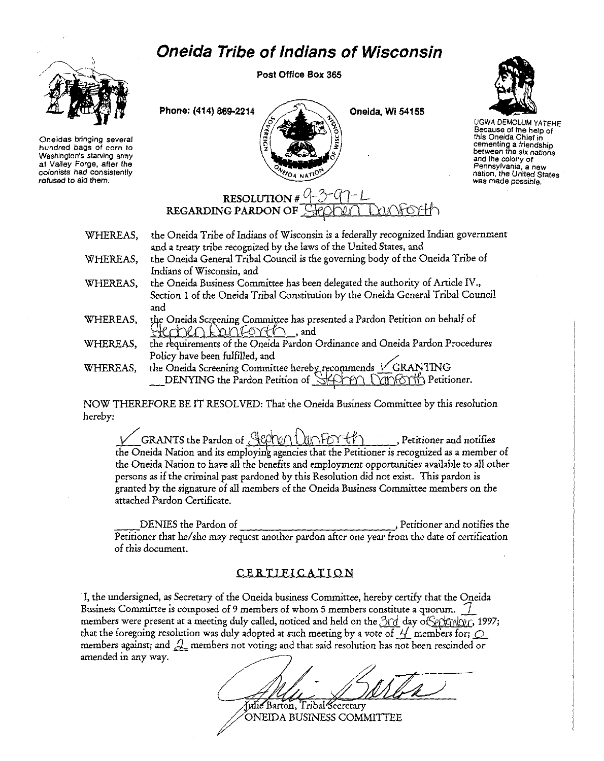## **Oneida Tribe of Indians of Wisconsin**



**Oneidas bringing several hundred bags of corn to Washington's starving army at Valley Forge, after the colonists had consistently refused to aid them.** 

Post Office Box 365

Phone: (414) 869-2214  $\bigcup_{\Delta}$  Oneida, Wi 54155



UGWA DEMOLUM YATEHE **Because of the help of this Oneida Chief in cementing a friendship between the six nations and the colony of Pennsylvania, a new nation, the United States was made possible.** 

## RESOLUTION # 9-3-97-L<br>REGARDING PARDON OF <del>STOODLA DUNFOY!</del>

OA NATH

- WHEREAS, WHEREAS, the Oneida Tribe of Indians of Wisconsin is a federally recognized Indian government and a treaty tribe recognized by the laws of the United States, and the Oneida General Tribal Council is the governing body of the Oneida Tribe of Indians of Wisconsin, and
- WHEREAS, the Oneida Business Committee has been delegated the authority of Article IV., Section 1 of the Oneida Tribal Constitution by the Oneida General Tribal Council and
- WHEREAS, the Oneida Screening Committee has presented a Pardon Petition on behalf of  $R$ c'h $R \cap k$  an $\widetilde{C}$ orf $\mathscr{C}$ , and
- WHEREAS, the requirements of the Oneida Pardon Ordinance and Oneida Pardon Procedures Policy have been fulfilled, and ~
- WHEREAS, the Oneida Screening Committee hereby recommends V GRANTING the requirements of the Oneida Pardon Ordinance and Oneida Pardon Proced<br>Policy have been fulfilled, and<br>the Oneida Screening Committee hereby recommends VGRANTING<br>DENYING the Pardon Petition of SEPPEN UTOFOTI Petitioner.

NOW THEREFORE BE IT RESOLVED: That the Oneida Business Committee by this resolution hereby:

GRANTS the Pardon of  $\bigoplus p\uparrow\varphi\cap\bigcup p\uparrow\varphi\uparrow\psi\uparrow\qquad$ , Petitioner and notifies the Oneida Nation and its employing agencies that the Petitioner *is* recognized as a member of the Oneida Nation to have all the benefits and employment opportunities available to all other persons as if the criminal past pardoned by this Resolution did not exist. This pardon is granted by the signature of all members of the Oneida Business Committee members on the attached Pardon Certificate.

DENIES the Pardon of Peritioner and notifies the Petitioner that he/she may request another pardon after one year from the date of certification of this document.

## CERTIFICATION

I, the undersigned, as Secretary of the Oneida business Committee, hereby certify that the Oneida Business Committee is composed of 9 members of whom 5 members constitute a quorum.  $\frac{1}{2}$ members were present at a meeting duly called, noticed and held on the 3rd day of Senkman, 1997; that the foregoing resolution was duly adopted at such meeting by a vote of  $\frac{1}{2}$  members for;  $\bigcirc$ members against; and  $\mathcal{Q}$  members not voting; and that said resolution has not been rescinded or amended in any way.

Julie Barton, Tribal Secretary ONEIDA BUSINESS COMMITTEE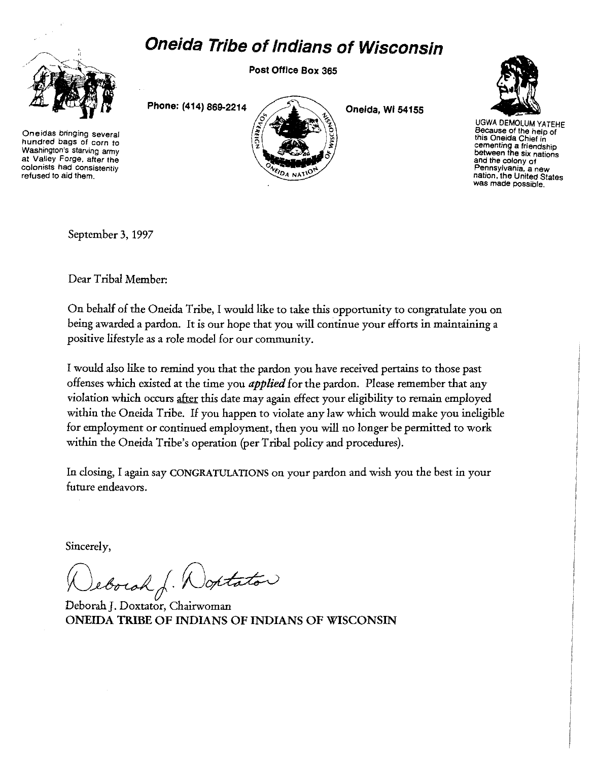## **Oneida Tribe of Indians of Wisconsin**



**Oneidas bringing several hundred bags of corn to Washington's starving army at Valley Forge, after the colonists had consistently refused to aid them.** 

Post Office Box 365

Phone: (414) 869-2214

Oneida, WI 54155



UGWA DEMOLUM YATEHE **Because of the help of** this Oneida Chief in cementing a friendship **between the SIX nations and the colony of Pennsylvania, a new nation, the United States was made possible.** 

September 3, 1997

Dear Tribal Member:

On behalf of the Oneida Tribe, I would like to take this opportunity to congratulate you on being awarded a pardon. It is our hope that you will continue your efforts in maintaining a positive lifestyle as a role model for our community.

I would also like to remind you that the pardon you have received pertains to those past offenses which existed at the time you *applied* for the pardon. Please remember that any violation which occurs after this date may again effect your eligibility to remain employed within the Oneida Tribe. If you happen to violate any law which would make you ineligible for employment or continued employment, then you will no longer be permitted to work within the Oneida Tribe's operation (per Tribal policy and procedures).

In dosing, I again say CONGRATULATIONS on your pardon and wish you the best in your future endeavors.

Sincerely,

Jeborah J. Wontator

Deborah]. Doxtator, Chairwoman ONEIDA TRIBE OF INDIANS OF INDIANS OF WISCONSIN